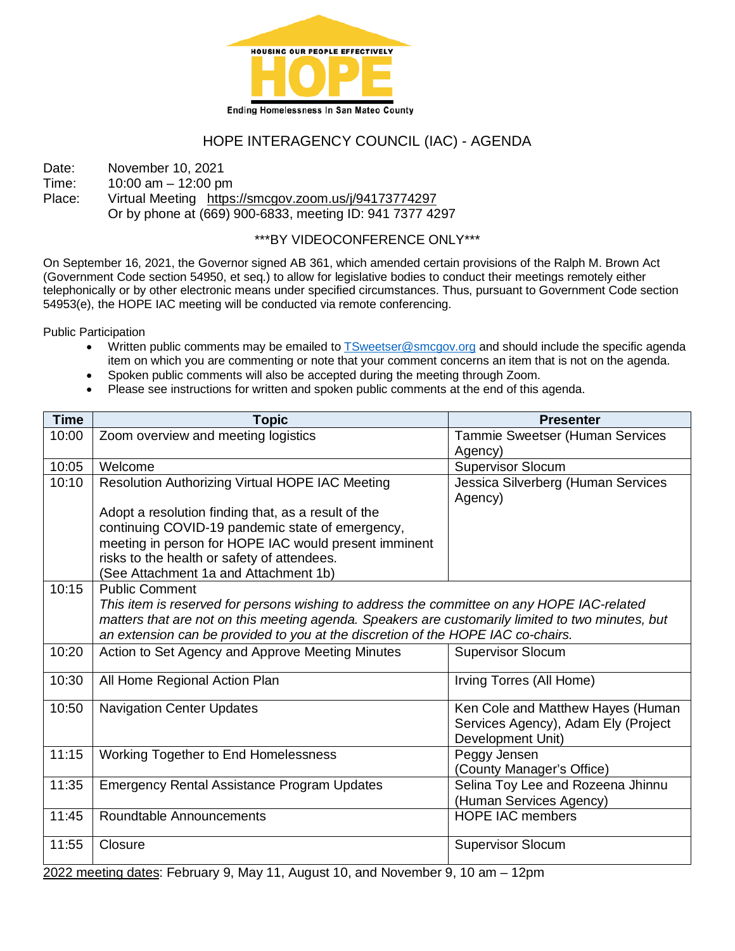

## HOPE INTERAGENCY COUNCIL (IAC) - AGENDA

Date: November 10, 2021

Time: 10:00 am – 12:00 pm

Place: Virtual Meeting <https://smcgov.zoom.us/j/94173774297> Or by phone at (669) 900-6833, meeting ID: 941 7377 4297

### \*\*\*BY VIDEOCONFERENCE ONLY\*\*\*

On September 16, 2021, the Governor signed AB 361, which amended certain provisions of the Ralph M. Brown Act (Government Code section 54950, et seq.) to allow for legislative bodies to conduct their meetings remotely either telephonically or by other electronic means under specified circumstances. Thus, pursuant to Government Code section 54953(e), the HOPE IAC meeting will be conducted via remote conferencing.

Public Participation

- Written public comments may be emailed to **TSweetser@smcgov.org** and should include the specific agenda item on which you are commenting or note that your comment concerns an item that is not on the agenda.
- Spoken public comments will also be accepted during the meeting through Zoom.
- Please see instructions for written and spoken public comments at the end of this agenda.

| <b>Time</b> | <b>Topic</b>                                                                                      | <b>Presenter</b>                              |
|-------------|---------------------------------------------------------------------------------------------------|-----------------------------------------------|
| 10:00       | Zoom overview and meeting logistics                                                               | Tammie Sweetser (Human Services<br>Agency)    |
| 10:05       | Welcome                                                                                           | <b>Supervisor Slocum</b>                      |
| 10:10       | Resolution Authorizing Virtual HOPE IAC Meeting                                                   | Jessica Silverberg (Human Services<br>Agency) |
|             | Adopt a resolution finding that, as a result of the                                               |                                               |
|             | continuing COVID-19 pandemic state of emergency,                                                  |                                               |
|             | meeting in person for HOPE IAC would present imminent                                             |                                               |
|             | risks to the health or safety of attendees.                                                       |                                               |
|             | (See Attachment 1a and Attachment 1b)                                                             |                                               |
| 10:15       | <b>Public Comment</b>                                                                             |                                               |
|             | This item is reserved for persons wishing to address the committee on any HOPE IAC-related        |                                               |
|             | matters that are not on this meeting agenda. Speakers are customarily limited to two minutes, but |                                               |
|             | an extension can be provided to you at the discretion of the HOPE IAC co-chairs.                  |                                               |
| 10:20       | Action to Set Agency and Approve Meeting Minutes                                                  | <b>Supervisor Slocum</b>                      |
| 10:30       |                                                                                                   | Irving Torres (All Home)                      |
|             | All Home Regional Action Plan                                                                     |                                               |
| 10:50       | <b>Navigation Center Updates</b>                                                                  | Ken Cole and Matthew Hayes (Human             |
|             |                                                                                                   | Services Agency), Adam Ely (Project           |
|             |                                                                                                   | Development Unit)                             |
| 11:15       | Working Together to End Homelessness                                                              | Peggy Jensen                                  |
|             |                                                                                                   | (County Manager's Office)                     |
| 11:35       | <b>Emergency Rental Assistance Program Updates</b>                                                | Selina Toy Lee and Rozeena Jhinnu             |
|             |                                                                                                   | (Human Services Agency)                       |
| 11:45       | Roundtable Announcements                                                                          | <b>HOPE IAC members</b>                       |
|             |                                                                                                   |                                               |
| 11:55       | Closure                                                                                           | <b>Supervisor Slocum</b>                      |
|             |                                                                                                   |                                               |

2022 meeting dates: February 9, May 11, August 10, and November 9, 10 am – 12pm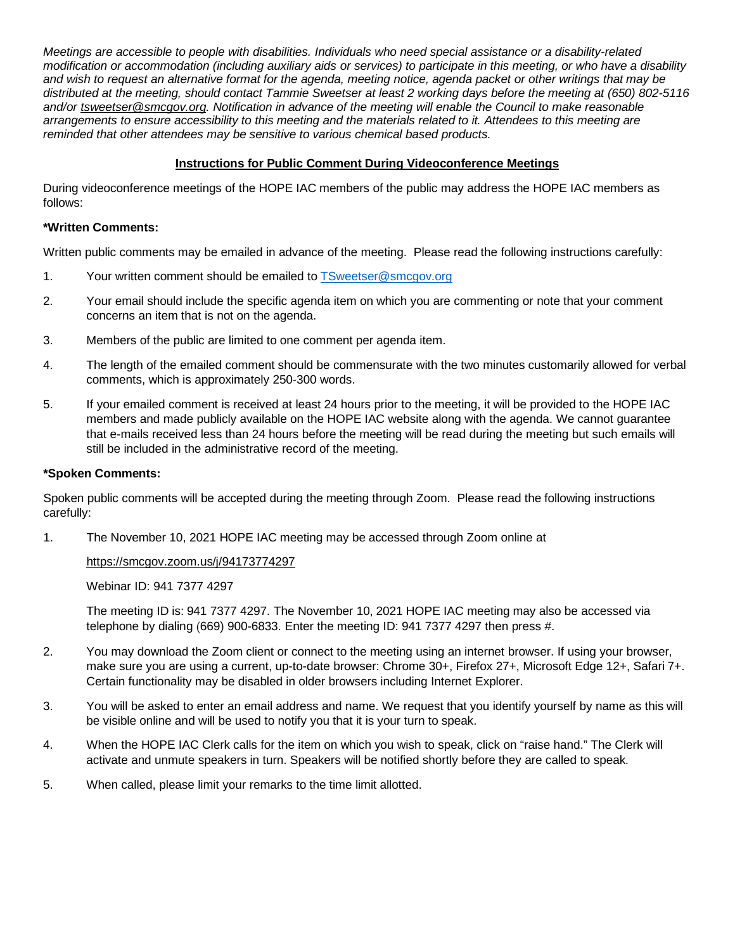*Meetings are accessible to people with disabilities. Individuals who need special assistance or a disability-related modification or accommodation (including auxiliary aids or services) to participate in this meeting, or who have a disability and wish to request an alternative format for the agenda, meeting notice, agenda packet or other writings that may be distributed at the meeting, should contact Tammie Sweetser at least 2 working days before the meeting at (650) 802-5116 and/or [tsweetser@smcgov.org.](mailto:tsweetser@smcgov.org) Notification in advance of the meeting will enable the Council to make reasonable arrangements to ensure accessibility to this meeting and the materials related to it. Attendees to this meeting are reminded that other attendees may be sensitive to various chemical based products.*

#### **Instructions for Public Comment During Videoconference Meetings**

During videoconference meetings of the HOPE IAC members of the public may address the HOPE IAC members as follows:

#### **\*Written Comments:**

Written public comments may be emailed in advance of the meeting. Please read the following instructions carefully:

- 1. Your written comment should be emailed to [TSweetser@smcgov.org](mailto:TSweetser@smcgov.org)
- 2. Your email should include the specific agenda item on which you are commenting or note that your comment concerns an item that is not on the agenda.
- 3. Members of the public are limited to one comment per agenda item.
- 4. The length of the emailed comment should be commensurate with the two minutes customarily allowed for verbal comments, which is approximately 250-300 words.
- 5. If your emailed comment is received at least 24 hours prior to the meeting, it will be provided to the HOPE IAC members and made publicly available on the HOPE IAC website along with the agenda. We cannot guarantee that e-mails received less than 24 hours before the meeting will be read during the meeting but such emails will still be included in the administrative record of the meeting.

#### **\*Spoken Comments:**

Spoken public comments will be accepted during the meeting through Zoom. Please read the following instructions carefully:

1. The November 10, 2021 HOPE IAC meeting may be accessed through Zoom online at

#### <https://smcgov.zoom.us/j/94173774297>

Webinar ID: 941 7377 4297

The meeting ID is: 941 7377 4297. The November 10, 2021 HOPE IAC meeting may also be accessed via telephone by dialing (669) 900-6833. Enter the meeting ID: 941 7377 4297 then press #.

- 2. You may download the Zoom client or connect to the meeting using an internet browser. If using your browser, make sure you are using a current, up-to-date browser: Chrome 30+, Firefox 27+, Microsoft Edge 12+, Safari 7+. Certain functionality may be disabled in older browsers including Internet Explorer.
- 3. You will be asked to enter an email address and name. We request that you identify yourself by name as this will be visible online and will be used to notify you that it is your turn to speak.
- 4. When the HOPE IAC Clerk calls for the item on which you wish to speak, click on "raise hand." The Clerk will activate and unmute speakers in turn. Speakers will be notified shortly before they are called to speak.
- 5. When called, please limit your remarks to the time limit allotted.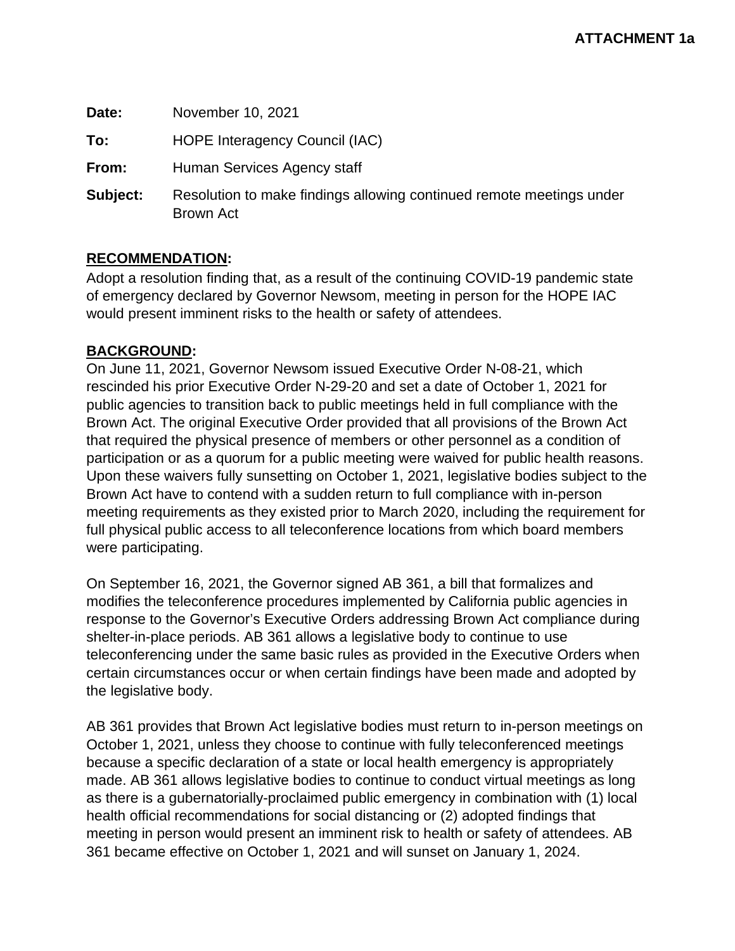| Date:    | November 10, 2021                                                                 |  |
|----------|-----------------------------------------------------------------------------------|--|
| To:      | HOPE Interagency Council (IAC)                                                    |  |
| From:    | Human Services Agency staff                                                       |  |
| Subject: | Resolution to make findings allowing continued remote meetings under<br>Brown Act |  |

### **RECOMMENDATION:**

Adopt a resolution finding that, as a result of the continuing COVID-19 pandemic state of emergency declared by Governor Newsom, meeting in person for the HOPE IAC would present imminent risks to the health or safety of attendees.

### **BACKGROUND:**

On June 11, 2021, Governor Newsom issued Executive Order N-08-21, which rescinded his prior Executive Order N-29-20 and set a date of October 1, 2021 for public agencies to transition back to public meetings held in full compliance with the Brown Act. The original Executive Order provided that all provisions of the Brown Act that required the physical presence of members or other personnel as a condition of participation or as a quorum for a public meeting were waived for public health reasons. Upon these waivers fully sunsetting on October 1, 2021, legislative bodies subject to the Brown Act have to contend with a sudden return to full compliance with in-person meeting requirements as they existed prior to March 2020, including the requirement for full physical public access to all teleconference locations from which board members were participating.

On September 16, 2021, the Governor signed AB 361, a bill that formalizes and modifies the teleconference procedures implemented by California public agencies in response to the Governor's Executive Orders addressing Brown Act compliance during shelter-in-place periods. AB 361 allows a legislative body to continue to use teleconferencing under the same basic rules as provided in the Executive Orders when certain circumstances occur or when certain findings have been made and adopted by the legislative body.

AB 361 provides that Brown Act legislative bodies must return to in-person meetings on October 1, 2021, unless they choose to continue with fully teleconferenced meetings because a specific declaration of a state or local health emergency is appropriately made. AB 361 allows legislative bodies to continue to conduct virtual meetings as long as there is a gubernatorially-proclaimed public emergency in combination with (1) local health official recommendations for social distancing or (2) adopted findings that meeting in person would present an imminent risk to health or safety of attendees. AB 361 became effective on October 1, 2021 and will sunset on January 1, 2024.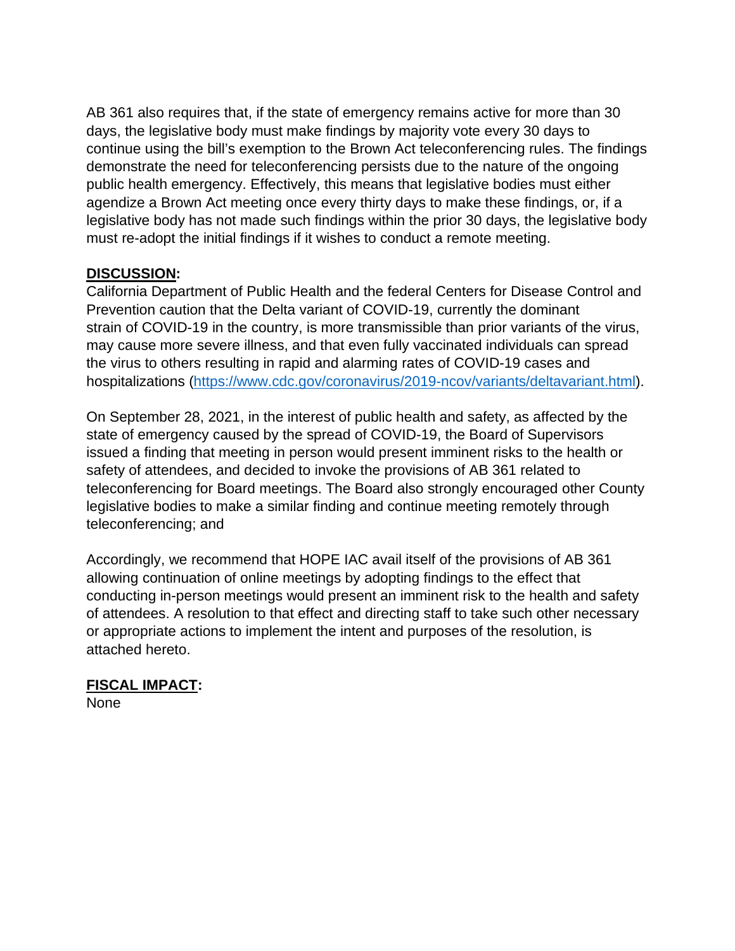AB 361 also requires that, if the state of emergency remains active for more than 30 days, the legislative body must make findings by majority vote every 30 days to continue using the bill's exemption to the Brown Act teleconferencing rules. The findings demonstrate the need for teleconferencing persists due to the nature of the ongoing public health emergency. Effectively, this means that legislative bodies must either agendize a Brown Act meeting once every thirty days to make these findings, or, if a legislative body has not made such findings within the prior 30 days, the legislative body must re-adopt the initial findings if it wishes to conduct a remote meeting.

## **DISCUSSION:**

California Department of Public Health and the federal Centers for Disease Control and Prevention caution that the Delta variant of COVID-19, currently the dominant strain of COVID-19 in the country, is more transmissible than prior variants of the virus, may cause more severe illness, and that even fully vaccinated individuals can spread the virus to others resulting in rapid and alarming rates of COVID-19 cases and hospitalizations [\(https://www.cdc.gov/coronavirus/2019-ncov/variants/deltavariant.html\)](https://www.cdc.gov/coronavirus/2019-ncov/variants/deltavariant.html).

On September 28, 2021, in the interest of public health and safety, as affected by the state of emergency caused by the spread of COVID-19, the Board of Supervisors issued a finding that meeting in person would present imminent risks to the health or safety of attendees, and decided to invoke the provisions of AB 361 related to teleconferencing for Board meetings. The Board also strongly encouraged other County legislative bodies to make a similar finding and continue meeting remotely through teleconferencing; and

Accordingly, we recommend that HOPE IAC avail itself of the provisions of AB 361 allowing continuation of online meetings by adopting findings to the effect that conducting in-person meetings would present an imminent risk to the health and safety of attendees. A resolution to that effect and directing staff to take such other necessary or appropriate actions to implement the intent and purposes of the resolution, is attached hereto.

## **FISCAL IMPACT:** None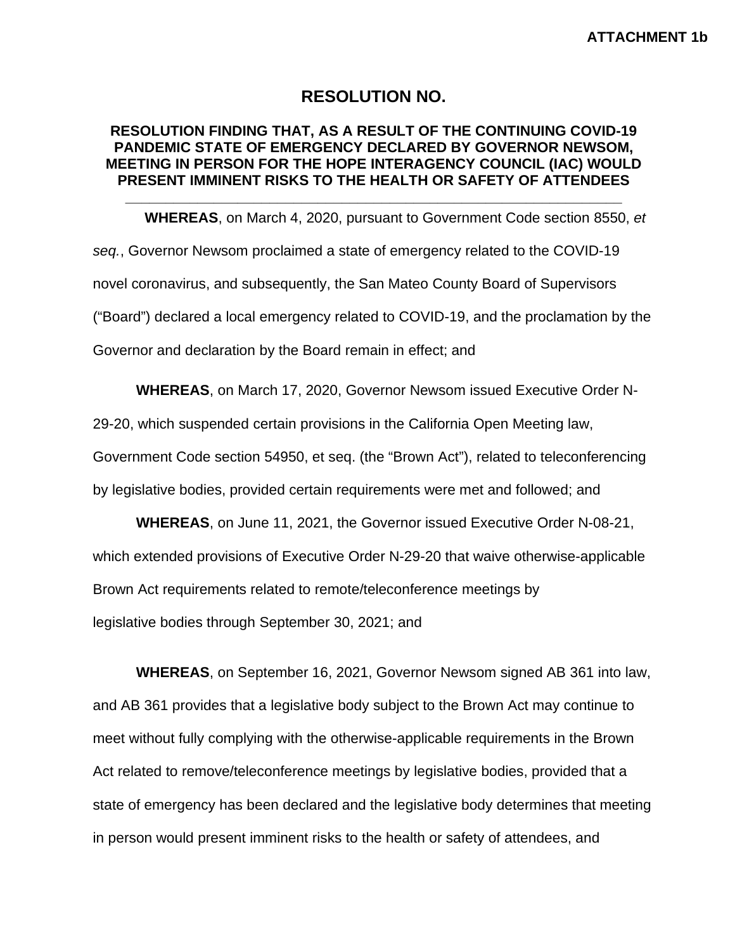## **RESOLUTION NO.**

### **RESOLUTION FINDING THAT, AS A RESULT OF THE CONTINUING COVID-19 PANDEMIC STATE OF EMERGENCY DECLARED BY GOVERNOR NEWSOM, MEETING IN PERSON FOR THE HOPE INTERAGENCY COUNCIL (IAC) WOULD PRESENT IMMINENT RISKS TO THE HEALTH OR SAFETY OF ATTENDEES**

**\_\_\_\_\_\_\_\_\_\_\_\_\_\_\_\_\_\_\_\_\_\_\_\_\_\_\_\_\_\_\_\_\_\_\_\_\_\_\_\_\_\_\_\_\_\_\_\_\_\_\_\_\_\_\_\_\_\_\_\_\_\_**

**WHEREAS**, on March 4, 2020, pursuant to Government Code section 8550, *et seq.*, Governor Newsom proclaimed a state of emergency related to the COVID-19 novel coronavirus, and subsequently, the San Mateo County Board of Supervisors ("Board") declared a local emergency related to COVID-19, and the proclamation by the Governor and declaration by the Board remain in effect; and

**WHEREAS**, on March 17, 2020, Governor Newsom issued Executive Order N-

29-20, which suspended certain provisions in the California Open Meeting law,

Government Code section 54950, et seq. (the "Brown Act"), related to teleconferencing

by legislative bodies, provided certain requirements were met and followed; and

**WHEREAS**, on June 11, 2021, the Governor issued Executive Order N-08-21, which extended provisions of Executive Order N-29-20 that waive otherwise-applicable Brown Act requirements related to remote/teleconference meetings by legislative bodies through September 30, 2021; and

**WHEREAS**, on September 16, 2021, Governor Newsom signed AB 361 into law, and AB 361 provides that a legislative body subject to the Brown Act may continue to meet without fully complying with the otherwise-applicable requirements in the Brown Act related to remove/teleconference meetings by legislative bodies, provided that a state of emergency has been declared and the legislative body determines that meeting in person would present imminent risks to the health or safety of attendees, and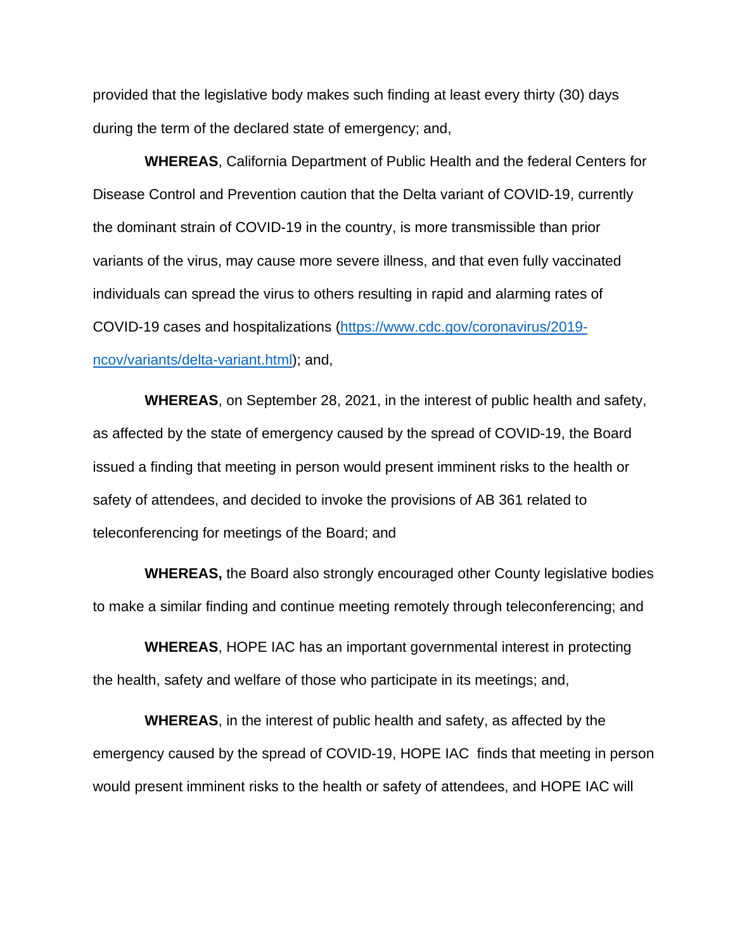provided that the legislative body makes such finding at least every thirty (30) days during the term of the declared state of emergency; and,

**WHEREAS**, California Department of Public Health and the federal Centers for Disease Control and Prevention caution that the Delta variant of COVID-19, currently the dominant strain of COVID-19 in the country, is more transmissible than prior variants of the virus, may cause more severe illness, and that even fully vaccinated individuals can spread the virus to others resulting in rapid and alarming rates of COVID-19 cases and hospitalizations [\(https://www.cdc.gov/coronavirus/2019](https://www.cdc.gov/coronavirus/2019-ncov/variants/delta-variant.html) [ncov/variants/delta-variant.html\)](https://www.cdc.gov/coronavirus/2019-ncov/variants/delta-variant.html); and,

**WHEREAS**, on September 28, 2021, in the interest of public health and safety, as affected by the state of emergency caused by the spread of COVID-19, the Board issued a finding that meeting in person would present imminent risks to the health or safety of attendees, and decided to invoke the provisions of AB 361 related to teleconferencing for meetings of the Board; and

**WHEREAS,** the Board also strongly encouraged other County legislative bodies to make a similar finding and continue meeting remotely through teleconferencing; and

**WHEREAS**, HOPE IAC has an important governmental interest in protecting the health, safety and welfare of those who participate in its meetings; and,

**WHEREAS**, in the interest of public health and safety, as affected by the emergency caused by the spread of COVID-19, HOPE IAC finds that meeting in person would present imminent risks to the health or safety of attendees, and HOPE IAC will